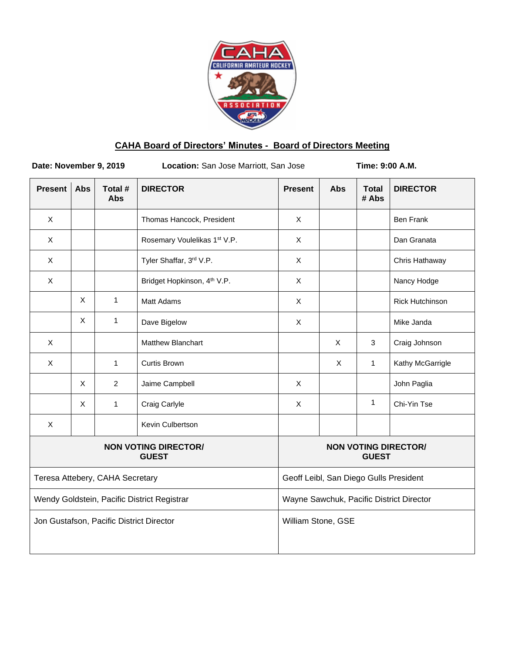

# **CAHA Board of Directors' Minutes - Board of Directors Meeting**

**Date: November 9, 2019** Location: San Jose Marriott, San Jose **Time: 9:00 A.M.** 

| <b>Present</b>                              | <b>Abs</b> | Total #<br><b>Abs</b> | <b>DIRECTOR</b>                         | <b>Present</b>                              | <b>Abs</b> | <b>Total</b><br># Abs | <b>DIRECTOR</b>        |
|---------------------------------------------|------------|-----------------------|-----------------------------------------|---------------------------------------------|------------|-----------------------|------------------------|
| X                                           |            |                       | Thomas Hancock, President               | X                                           |            |                       | <b>Ben Frank</b>       |
| X                                           |            |                       | Rosemary Voulelikas 1st V.P.            | X                                           |            |                       | Dan Granata            |
| X                                           |            |                       | Tyler Shaffar, 3rd V.P.                 | $\mathsf X$                                 |            |                       | Chris Hathaway         |
| X                                           |            |                       | Bridget Hopkinson, 4 <sup>th</sup> V.P. | X                                           |            |                       | Nancy Hodge            |
|                                             | X          | $\mathbf{1}$          | <b>Matt Adams</b>                       | $\mathsf{X}$                                |            |                       | <b>Rick Hutchinson</b> |
|                                             | X          | $\mathbf{1}$          | Dave Bigelow                            | X                                           |            |                       | Mike Janda             |
| X                                           |            |                       | Matthew Blanchart                       |                                             | X          | 3                     | Craig Johnson          |
| X                                           |            | $\mathbf{1}$          | <b>Curtis Brown</b>                     |                                             | X          | $\mathbf{1}$          | Kathy McGarrigle       |
|                                             | X          | 2                     | Jaime Campbell                          | $\mathsf{X}$                                |            |                       | John Paglia            |
|                                             | X          | $\mathbf{1}$          | Craig Carlyle                           | X                                           |            | 1                     | Chi-Yin Tse            |
| X                                           |            |                       | Kevin Culbertson                        |                                             |            |                       |                        |
| <b>NON VOTING DIRECTOR/</b><br><b>GUEST</b> |            |                       |                                         | <b>NON VOTING DIRECTOR/</b><br><b>GUEST</b> |            |                       |                        |
| Teresa Attebery, CAHA Secretary             |            |                       |                                         | Geoff Leibl, San Diego Gulls President      |            |                       |                        |
| Wendy Goldstein, Pacific District Registrar |            |                       |                                         | Wayne Sawchuk, Pacific District Director    |            |                       |                        |
| Jon Gustafson, Pacific District Director    |            |                       |                                         | William Stone, GSE                          |            |                       |                        |
|                                             |            |                       |                                         |                                             |            |                       |                        |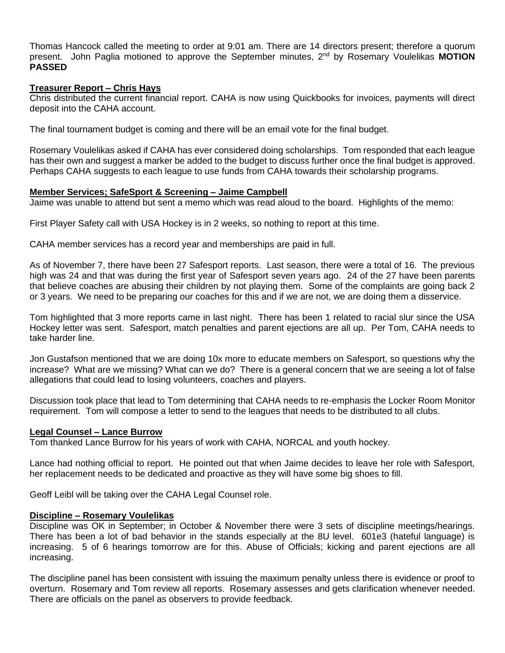Thomas Hancock called the meeting to order at 9:01 am. There are 14 directors present; therefore a quorum present. John Paglia motioned to approve the September minutes, 2nd by Rosemary Voulelikas **MOTION PASSED**

# **Treasurer Report – Chris Hays**

Chris distributed the current financial report. CAHA is now using Quickbooks for invoices, payments will direct deposit into the CAHA account.

The final tournament budget is coming and there will be an email vote for the final budget.

Rosemary Voulelikas asked if CAHA has ever considered doing scholarships. Tom responded that each league has their own and suggest a marker be added to the budget to discuss further once the final budget is approved. Perhaps CAHA suggests to each league to use funds from CAHA towards their scholarship programs.

# **Member Services; SafeSport & Screening – Jaime Campbell**

Jaime was unable to attend but sent a memo which was read aloud to the board. Highlights of the memo:

First Player Safety call with USA Hockey is in 2 weeks, so nothing to report at this time.

CAHA member services has a record year and memberships are paid in full.

As of November 7, there have been 27 Safesport reports. Last season, there were a total of 16. The previous high was 24 and that was during the first year of Safesport seven years ago. 24 of the 27 have been parents that believe coaches are abusing their children by not playing them. Some of the complaints are going back 2 or 3 years. We need to be preparing our coaches for this and if we are not, we are doing them a disservice.

Tom highlighted that 3 more reports came in last night. There has been 1 related to racial slur since the USA Hockey letter was sent. Safesport, match penalties and parent ejections are all up. Per Tom, CAHA needs to take harder line.

Jon Gustafson mentioned that we are doing 10x more to educate members on Safesport, so questions why the increase? What are we missing? What can we do? There is a general concern that we are seeing a lot of false allegations that could lead to losing volunteers, coaches and players.

Discussion took place that lead to Tom determining that CAHA needs to re-emphasis the Locker Room Monitor requirement. Tom will compose a letter to send to the leagues that needs to be distributed to all clubs.

### **Legal Counsel – Lance Burrow**

Tom thanked Lance Burrow for his years of work with CAHA, NORCAL and youth hockey.

Lance had nothing official to report. He pointed out that when Jaime decides to leave her role with Safesport, her replacement needs to be dedicated and proactive as they will have some big shoes to fill.

Geoff Leibl will be taking over the CAHA Legal Counsel role.

### **Discipline – Rosemary Voulelikas**

Discipline was OK in September; in October & November there were 3 sets of discipline meetings/hearings. There has been a lot of bad behavior in the stands especially at the 8U level. 601e3 (hateful language) is increasing. 5 of 6 hearings tomorrow are for this. Abuse of Officials; kicking and parent ejections are all increasing.

The discipline panel has been consistent with issuing the maximum penalty unless there is evidence or proof to overturn. Rosemary and Tom review all reports. Rosemary assesses and gets clarification whenever needed. There are officials on the panel as observers to provide feedback.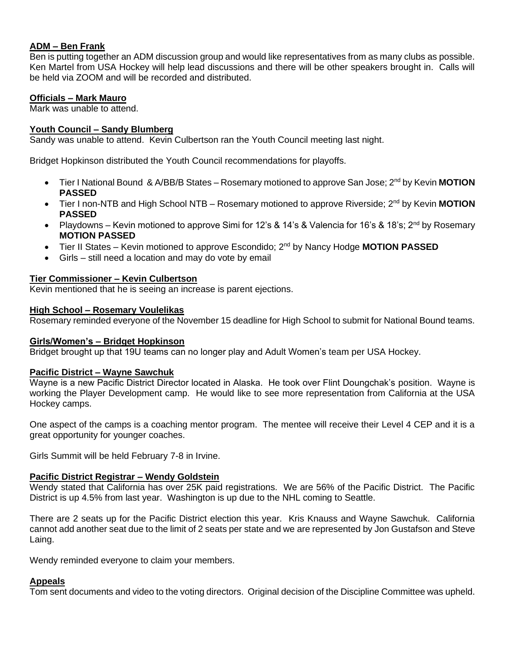## **ADM – Ben Frank**

Ben is putting together an ADM discussion group and would like representatives from as many clubs as possible. Ken Martel from USA Hockey will help lead discussions and there will be other speakers brought in. Calls will be held via ZOOM and will be recorded and distributed.

# **Officials – Mark Mauro**

Mark was unable to attend.

## **Youth Council – Sandy Blumberg**

Sandy was unable to attend. Kevin Culbertson ran the Youth Council meeting last night.

Bridget Hopkinson distributed the Youth Council recommendations for playoffs.

- Tier I National Bound & A/BB/B States Rosemary motioned to approve San Jose; 2<sup>nd</sup> by Kevin MOTION **PASSED**
- Tier I non-NTB and High School NTB Rosemary motioned to approve Riverside; 2<sup>nd</sup> by Kevin MOTION **PASSED**
- Playdowns Kevin motioned to approve Simi for 12's & 14's & Valencia for 16's & 18's; 2<sup>nd</sup> by Rosemary **MOTION PASSED**
- Tier II States Kevin motioned to approve Escondido; 2nd by Nancy Hodge **MOTION PASSED**
- Girls still need a location and may do vote by email

# **Tier Commissioner – Kevin Culbertson**

Kevin mentioned that he is seeing an increase is parent ejections.

# **High School – Rosemary Voulelikas**

Rosemary reminded everyone of the November 15 deadline for High School to submit for National Bound teams.

### **Girls/Women's – Bridget Hopkinson**

Bridget brought up that 19U teams can no longer play and Adult Women's team per USA Hockey.

### **Pacific District – Wayne Sawchuk**

Wayne is a new Pacific District Director located in Alaska. He took over Flint Doungchak's position. Wayne is working the Player Development camp. He would like to see more representation from California at the USA Hockey camps.

One aspect of the camps is a coaching mentor program. The mentee will receive their Level 4 CEP and it is a great opportunity for younger coaches.

Girls Summit will be held February 7-8 in Irvine.

### **Pacific District Registrar – Wendy Goldstein**

Wendy stated that California has over 25K paid registrations. We are 56% of the Pacific District. The Pacific District is up 4.5% from last year. Washington is up due to the NHL coming to Seattle.

There are 2 seats up for the Pacific District election this year. Kris Knauss and Wayne Sawchuk. California cannot add another seat due to the limit of 2 seats per state and we are represented by Jon Gustafson and Steve Laing.

Wendy reminded everyone to claim your members.

### **Appeals**

Tom sent documents and video to the voting directors. Original decision of the Discipline Committee was upheld.